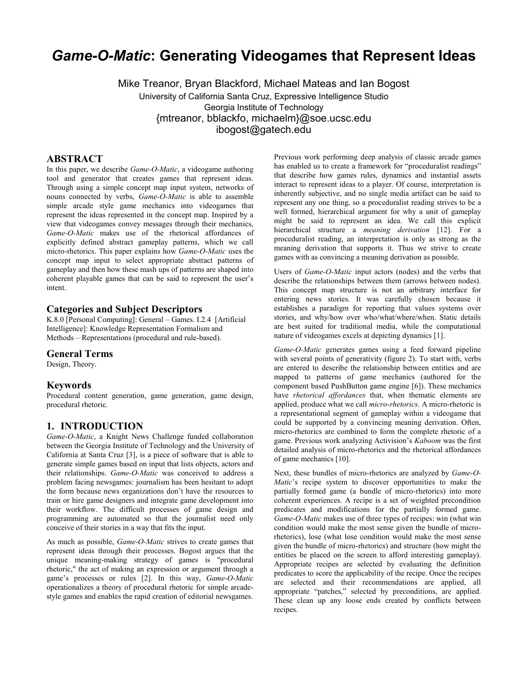# *Game-O-Matic***: Generating Videogames that Represent Ideas**

Mike Treanor, Bryan Blackford, Michael Mateas and Ian Bogost University of California Santa Cruz, Expressive Intelligence Studio Georgia Institute of Technology {mtreanor, bblackfo, michaelm}@soe.ucsc.edu ibogost@gatech.edu

# **ABSTRACT**

In this paper, we describe *Game-O-Matic*, a videogame authoring tool and generator that creates games that represent ideas. Through using a simple concept map input system, networks of nouns connected by verbs, *Game-O-Matic* is able to assemble simple arcade style game mechanics into videogames that represent the ideas represented in the concept map. Inspired by a view that videogames convey messages through their mechanics, *Game-O-Matic* makes use of the rhetorical affordances of explicitly defined abstract gameplay patterns, which we call micro-rhetorics. This paper explains how *Game-O-Matic* uses the concept map input to select appropriate abstract patterns of gameplay and then how these mash ups of patterns are shaped into coherent playable games that can be said to represent the user's intent.

#### **Categories and Subject Descriptors**

K.8.0 [Personal Computing]: General – Games. I.2.4 [Artificial Intelligence]: Knowledge Representation Formalism and Methods – Representations (procedural and rule-based).

#### **General Terms**

Design, Theory.

#### **Keywords**

Procedural content generation, game generation, game design, procedural rhetoric.

# **1. INTRODUCTION**

*Game-O-Matic*, a Knight News Challenge funded collaboration between the Georgia Institute of Technology and the University of California at Santa Cruz [3], is a piece of software that is able to generate simple games based on input that lists objects, actors and their relationships. *Game-O-Matic* was conceived to address a problem facing newsgames: journalism has been hesitant to adopt the form because news organizations don't have the resources to train or hire game designers and integrate game development into their workflow. The difficult processes of game design and programming are automated so that the journalist need only conceive of their stories in a way that fits the input.

As much as possible, *Game-O-Matic* strives to create games that represent ideas through their processes. Bogost argues that the unique meaning-making strategy of games is "procedural rhetoric," the act of making an expression or argument through a game's processes or rules [2]. In this way, *Game-O-Matic* operationalizes a theory of procedural rhetoric for simple arcadestyle games and enables the rapid creation of editorial newsgames.

Previous work performing deep analysis of classic arcade games has enabled us to create a framework for "proceduralist readings" that describe how games rules, dynamics and instantial assets interact to represent ideas to a player. Of course, interpretation is inherently subjective, and no single media artifact can be said to represent any one thing, so a proceduralist reading strives to be a well formed, hierarchical argument for why a unit of gameplay might be said to represent an idea. We call this explicit hierarchical structure a *meaning derivation* [12]. For a proceduralist reading, an interpretation is only as strong as the meaning derivation that supports it. Thus we strive to create games with as convincing a meaning derivation as possible.

Users of *Game-O-Matic* input actors (nodes) and the verbs that describe the relationships between them (arrows between nodes). This concept map structure is not an arbitrary interface for entering news stories. It was carefully chosen because it establishes a paradigm for reporting that values systems over stories, and why/how over who/what/where/when. Static details are best suited for traditional media, while the computational nature of videogames excels at depicting dynamics [1].

*Game-O-Matic* generates games using a feed forward pipeline with several points of generativity (figure 2). To start with, verbs are entered to describe the relationship between entities and are mapped to patterns of game mechanics (authored for the component based PushButton game engine [6]). These mechanics have *rhetorical affordances* that, when thematic elements are applied, produce what we call *micro-rhetorics*. A micro-rhetoric is a representational segment of gameplay within a videogame that could be supported by a convincing meaning derivation. Often, micro-rhetorics are combined to form the complete rhetoric of a game. Previous work analyzing Activision's *Kaboom* was the first detailed analysis of micro-rhetorics and the rhetorical affordances of game mechanics [10].

Next, these bundles of micro-rhetorics are analyzed by *Game-O-Matic*'s recipe system to discover opportunities to make the partially formed game (a bundle of micro-rhetorics) into more coherent experiences. A recipe is a set of weighted precondition predicates and modifications for the partially formed game. *Game-O-Matic* makes use of three types of recipes: win (what win condition would make the most sense given the bundle of microrhetorics), lose (what lose condition would make the most sense given the bundle of micro-rhetorics) and structure (how might the entities be placed on the screen to afford interesting gameplay). Appropriate recipes are selected by evaluating the definition predicates to score the applicability of the recipe. Once the recipes are selected and their recommendations are applied, all appropriate "patches," selected by preconditions, are applied. These clean up any loose ends created by conflicts between recipes.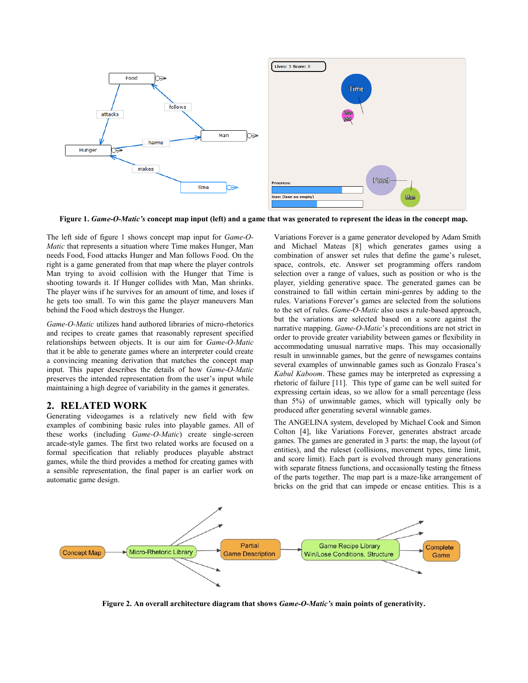

**Figure 1.** *Game-O-Matic's* **concept map input (left) and a game that was generated to represent the ideas in the concept map.**

The left side of figure 1 shows concept map input for *Game-O-Matic* that represents a situation where Time makes Hunger, Man needs Food, Food attacks Hunger and Man follows Food. On the right is a game generated from that map where the player controls Man trying to avoid collision with the Hunger that Time is shooting towards it. If Hunger collides with Man, Man shrinks. The player wins if he survives for an amount of time, and loses if he gets too small. To win this game the player maneuvers Man behind the Food which destroys the Hunger.

*Game-O-Matic* utilizes hand authored libraries of micro-rhetorics and recipes to create games that reasonably represent specified relationships between objects. It is our aim for *Game-O-Matic* that it be able to generate games where an interpreter could create a convincing meaning derivation that matches the concept map input. This paper describes the details of how *Game-O-Matic* preserves the intended representation from the user's input while maintaining a high degree of variability in the games it generates.

#### **2. RELATED WORK**

Generating videogames is a relatively new field with few examples of combining basic rules into playable games. All of these works (including *Game-O-Matic*) create single-screen arcade-style games. The first two related works are focused on a formal specification that reliably produces playable abstract games, while the third provides a method for creating games with a sensible representation, the final paper is an earlier work on automatic game design.

Variations Forever is a game generator developed by Adam Smith and Michael Mateas [8] which generates games using a combination of answer set rules that define the game's ruleset, space, controls, etc. Answer set programming offers random selection over a range of values, such as position or who is the player, yielding generative space. The generated games can be constrained to fall within certain mini-genres by adding to the rules. Variations Forever's games are selected from the solutions to the set of rules. *Game-O-Matic* also uses a rule-based approach, but the variations are selected based on a score against the narrative mapping. *Game-O-Matic*'s preconditions are not strict in order to provide greater variability between games or flexibility in accommodating unusual narrative maps. This may occasionally result in unwinnable games, but the genre of newsgames contains several examples of unwinnable games such as Gonzalo Frasca's *Kabul Kaboom*. These games may be interpreted as expressing a rhetoric of failure [11]. This type of game can be well suited for expressing certain ideas, so we allow for a small percentage (less than 5%) of unwinnable games, which will typically only be produced after generating several winnable games.

The ANGELINA system, developed by Michael Cook and Simon Colton [4], like Variations Forever, generates abstract arcade games. The games are generated in 3 parts: the map, the layout (of entities), and the ruleset (collisions, movement types, time limit, and score limit). Each part is evolved through many generations with separate fitness functions, and occasionally testing the fitness of the parts together. The map part is a maze-like arrangement of bricks on the grid that can impede or encase entities. This is a



**Figure 2. An overall architecture diagram that shows** *Game-O-Matic's* **main points of generativity.**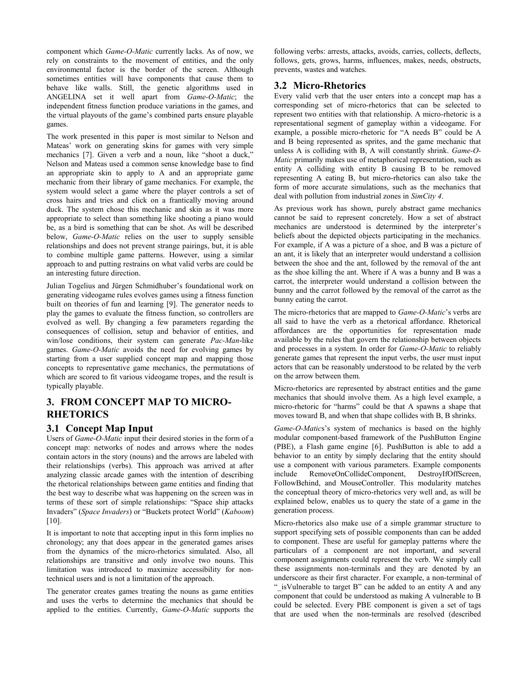component which *Game-O-Matic* currently lacks. As of now, we rely on constraints to the movement of entities, and the only environmental factor is the border of the screen. Although sometimes entities will have components that cause them to behave like walls. Still, the genetic algorithms used in ANGELINA set it well apart from *Game-O-Matic*; the independent fitness function produce variations in the games, and the virtual playouts of the game's combined parts ensure playable games.

The work presented in this paper is most similar to Nelson and Mateas' work on generating skins for games with very simple mechanics [7]. Given a verb and a noun, like "shoot a duck," Nelson and Mateas used a common sense knowledge base to find an appropriate skin to apply to A and an appropriate game mechanic from their library of game mechanics. For example, the system would select a game where the player controls a set of cross hairs and tries and click on a frantically moving around duck. The system chose this mechanic and skin as it was more appropriate to select than something like shooting a piano would be, as a bird is something that can be shot. As will be described below, *Game-O-Matic* relies on the user to supply sensible relationships and does not prevent strange pairings, but, it is able to combine multiple game patterns. However, using a similar approach to and putting restrains on what valid verbs are could be an interesting future direction.

Julian Togelius and Jürgen Schmidhuber's foundational work on generating videogame rules evolves games using a fitness function built on theories of fun and learning [9]. The generator needs to play the games to evaluate the fitness function, so controllers are evolved as well. By changing a few parameters regarding the consequences of collision, setup and behavior of entities, and win/lose conditions, their system can generate *Pac-Man*-like games. *Game-O-Matic* avoids the need for evolving games by starting from a user supplied concept map and mapping those concepts to representative game mechanics, the permutations of which are scored to fit various videogame tropes, and the result is typically playable.

# **3. FROM CONCEPT MAP TO MICRO-RHETORICS**

# **3.1 Concept Map Input**

Users of *Game-O-Matic* input their desired stories in the form of a concept map: networks of nodes and arrows where the nodes contain actors in the story (nouns) and the arrows are labeled with their relationships (verbs). This approach was arrived at after analyzing classic arcade games with the intention of describing the rhetorical relationships between game entities and finding that the best way to describe what was happening on the screen was in terms of these sort of simple relationships: "Space ship attacks Invaders" (*Space Invaders*) or "Buckets protect World" (*Kaboom*) [10].

It is important to note that accepting input in this form implies no chronology; any that does appear in the generated games arises from the dynamics of the micro-rhetorics simulated. Also, all relationships are transitive and only involve two nouns. This limitation was introduced to maximize accessibility for nontechnical users and is not a limitation of the approach.

The generator creates games treating the nouns as game entities and uses the verbs to determine the mechanics that should be applied to the entities. Currently, *Game-O-Matic* supports the

following verbs: arrests, attacks, avoids, carries, collects, deflects, follows, gets, grows, harms, influences, makes, needs, obstructs, prevents, wastes and watches.

# **3.2 Micro-Rhetorics**

Every valid verb that the user enters into a concept map has a corresponding set of micro-rhetorics that can be selected to represent two entities with that relationship. A micro-rhetoric is a representational segment of gameplay within a videogame. For example, a possible micro-rhetoric for "A needs B" could be A and B being represented as sprites, and the game mechanic that unless A is colliding with B, A will constantly shrink. *Game-O-Matic* primarily makes use of metaphorical representation, such as entity A colliding with entity B causing B to be removed representing A eating B, but micro-rhetorics can also take the form of more accurate simulations, such as the mechanics that deal with pollution from industrial zones in *SimCity 4*.

As previous work has shown, purely abstract game mechanics cannot be said to represent concretely. How a set of abstract mechanics are understood is determined by the interpreter's beliefs about the depicted objects participating in the mechanics. For example, if A was a picture of a shoe, and B was a picture of an ant, it is likely that an interpreter would understand a collision between the shoe and the ant, followed by the removal of the ant as the shoe killing the ant. Where if A was a bunny and B was a carrot, the interpreter would understand a collision between the bunny and the carrot followed by the removal of the carrot as the bunny eating the carrot.

The micro-rhetorics that are mapped to *Game-O-Matic*'s verbs are all said to have the verb as a rhetorical affordance. Rhetorical affordances are the opportunities for representation made available by the rules that govern the relationship between objects and processes in a system. In order for *Game-O-Matic* to reliably generate games that represent the input verbs, the user must input actors that can be reasonably understood to be related by the verb on the arrow between them.

Micro-rhetorics are represented by abstract entities and the game mechanics that should involve them. As a high level example, a micro-rhetoric for "harms" could be that A spawns a shape that moves toward B, and when that shape collides with B, B shrinks.

*Game-O-Matic*s's system of mechanics is based on the highly modular component-based framework of the PushButton Engine (PBE), a Flash game engine [6]. PushButton is able to add a behavior to an entity by simply declaring that the entity should use a component with various parameters. Example components include RemoveOnCollideComponent, DestroyIfOffScreen, FollowBehind, and MouseController. This modularity matches the conceptual theory of micro-rhetorics very well and, as will be explained below, enables us to query the state of a game in the generation process.

Micro-rhetorics also make use of a simple grammar structure to support specifying sets of possible components than can be added to component. These are useful for gameplay patterns where the particulars of a component are not important, and several component assignments could represent the verb. We simply call these assignments non-terminals and they are denoted by an underscore as their first character. For example, a non-terminal of " isVulnerable to target B" can be added to an entity A and any component that could be understood as making A vulnerable to B could be selected. Every PBE component is given a set of tags that are used when the non-terminals are resolved (described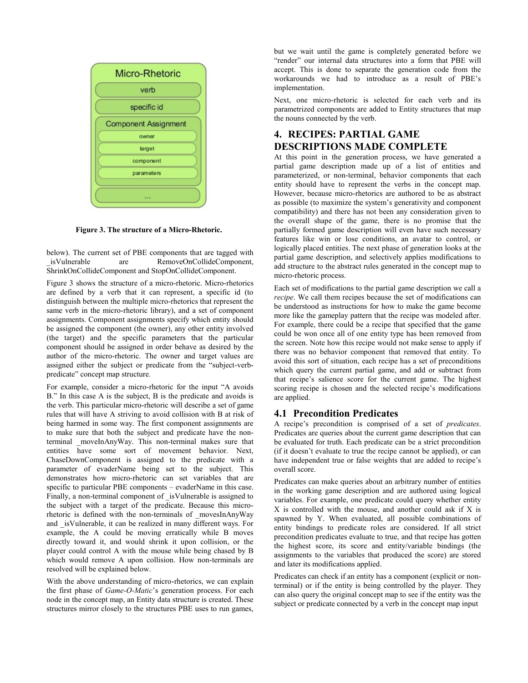

**Figure 3. The structure of a Micro-Rhetoric.**

below). The current set of PBE components that are tagged with isVulnerable are RemoveOnCollideComponent, ShrinkOnCollideComponent and StopOnCollideComponent.

Figure 3 shows the structure of a micro-rhetoric. Micro-rhetorics are defined by a verb that it can represent, a specific id (to distinguish between the multiple micro-rhetorics that represent the same verb in the micro-rhetoric library), and a set of component assignments. Component assignments specify which entity should be assigned the component (the owner), any other entity involved (the target) and the specific parameters that the particular component should be assigned in order behave as desired by the author of the micro-rhetoric. The owner and target values are assigned either the subject or predicate from the "subject-verbpredicate" concept map structure.

For example, consider a micro-rhetoric for the input "A avoids B." In this case A is the subject, B is the predicate and avoids is the verb. This particular micro-rhetoric will describe a set of game rules that will have A striving to avoid collision with B at risk of being harmed in some way. The first component assignments are to make sure that both the subject and predicate have the nonterminal moveInAnyWay. This non-terminal makes sure that entities have some sort of movement behavior. Next, ChaseDownComponent is assigned to the predicate with a parameter of evaderName being set to the subject. This demonstrates how micro-rhetoric can set variables that are specific to particular PBE components – evaderName in this case. Finally, a non-terminal component of \_isVulnerable is assigned to the subject with a target of the predicate. Because this microrhetoric is defined with the non-terminals of \_movesInAnyWay and \_isVulnerable, it can be realized in many different ways. For example, the A could be moving erratically while B moves directly toward it, and would shrink it upon collision, or the player could control A with the mouse while being chased by B which would remove A upon collision. How non-terminals are resolved will be explained below.

With the above understanding of micro-rhetorics, we can explain the first phase of *Game-O-Matic*'s generation process. For each node in the concept map, an Entity data structure is created. These structures mirror closely to the structures PBE uses to run games,

but we wait until the game is completely generated before we "render" our internal data structures into a form that PBE will accept. This is done to separate the generation code from the workarounds we had to introduce as a result of PBE's implementation.

Next, one micro-rhetoric is selected for each verb and its parametrized components are added to Entity structures that map the nouns connected by the verb.

# **4. RECIPES: PARTIAL GAME DESCRIPTIONS MADE COMPLETE**

At this point in the generation process, we have generated a partial game description made up of a list of entities and parameterized, or non-terminal, behavior components that each entity should have to represent the verbs in the concept map. However, because micro-rhetorics are authored to be as abstract as possible (to maximize the system's generativity and component compatibility) and there has not been any consideration given to the overall shape of the game, there is no promise that the partially formed game description will even have such necessary features like win or lose conditions, an avatar to control, or logically placed entities. The next phase of generation looks at the partial game description, and selectively applies modifications to add structure to the abstract rules generated in the concept map to micro-rhetoric process.

Each set of modifications to the partial game description we call a *recipe*. We call them recipes because the set of modifications can be understood as instructions for how to make the game become more like the gameplay pattern that the recipe was modeled after. For example, there could be a recipe that specified that the game could be won once all of one entity type has been removed from the screen. Note how this recipe would not make sense to apply if there was no behavior component that removed that entity. To avoid this sort of situation, each recipe has a set of preconditions which query the current partial game, and add or subtract from that recipe's salience score for the current game. The highest scoring recipe is chosen and the selected recipe's modifications are applied.

# **4.1 Precondition Predicates**

A recipe's precondition is comprised of a set of *predicates*. Predicates are queries about the current game description that can be evaluated for truth. Each predicate can be a strict precondition (if it doesn't evaluate to true the recipe cannot be applied), or can have independent true or false weights that are added to recipe's overall score.

Predicates can make queries about an arbitrary number of entities in the working game description and are authored using logical variables. For example, one predicate could query whether entity X is controlled with the mouse, and another could ask if X is spawned by Y. When evaluated, all possible combinations of entity bindings to predicate roles are considered. If all strict precondition predicates evaluate to true, and that recipe has gotten the highest score, its score and entity/variable bindings (the assignments to the variables that produced the score) are stored and later its modifications applied.

Predicates can check if an entity has a component (explicit or nonterminal) or if the entity is being controlled by the player. They can also query the original concept map to see if the entity was the subject or predicate connected by a verb in the concept map input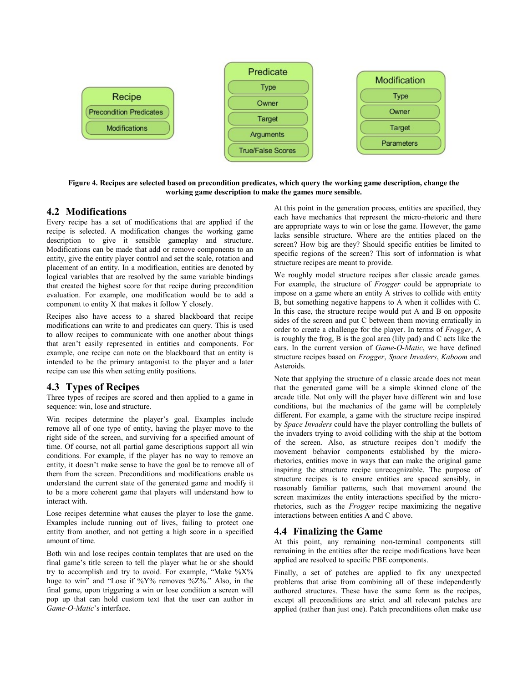

**Figure 4. Recipes are selected based on precondition predicates, which query the working game description, change the working game description to make the games more sensible.**

# **4.2 Modifications**

Every recipe has a set of modifications that are applied if the recipe is selected. A modification changes the working game description to give it sensible gameplay and structure. Modifications can be made that add or remove components to an entity, give the entity player control and set the scale, rotation and placement of an entity. In a modification, entities are denoted by logical variables that are resolved by the same variable bindings that created the highest score for that recipe during precondition evaluation. For example, one modification would be to add a component to entity X that makes it follow Y closely.

Recipes also have access to a shared blackboard that recipe modifications can write to and predicates can query. This is used to allow recipes to communicate with one another about things that aren't easily represented in entities and components. For example, one recipe can note on the blackboard that an entity is intended to be the primary antagonist to the player and a later recipe can use this when setting entity positions.

#### **4.3 Types of Recipes**

Three types of recipes are scored and then applied to a game in sequence: win, lose and structure.

Win recipes determine the player's goal. Examples include remove all of one type of entity, having the player move to the right side of the screen, and surviving for a specified amount of time. Of course, not all partial game descriptions support all win conditions. For example, if the player has no way to remove an entity, it doesn't make sense to have the goal be to remove all of them from the screen. Preconditions and modifications enable us understand the current state of the generated game and modify it to be a more coherent game that players will understand how to interact with.

Lose recipes determine what causes the player to lose the game. Examples include running out of lives, failing to protect one entity from another, and not getting a high score in a specified amount of time.

Both win and lose recipes contain templates that are used on the final game's title screen to tell the player what he or she should try to accomplish and try to avoid. For example, "Make  $\frac{60}{2}X\%$ huge to win<sup>3</sup> and "Lose if %Y% removes % $Z\%$ ." Also, in the final game, upon triggering a win or lose condition a screen will pop up that can hold custom text that the user can author in *Game-O-Matic*'s interface.

At this point in the generation process, entities are specified, they each have mechanics that represent the micro-rhetoric and there are appropriate ways to win or lose the game. However, the game lacks sensible structure. Where are the entities placed on the screen? How big are they? Should specific entities be limited to specific regions of the screen? This sort of information is what structure recipes are meant to provide.

We roughly model structure recipes after classic arcade games. For example, the structure of *Frogger* could be appropriate to impose on a game where an entity A strives to collide with entity B, but something negative happens to A when it collides with C. In this case, the structure recipe would put A and B on opposite sides of the screen and put C between them moving erratically in order to create a challenge for the player. In terms of *Frogger*, A is roughly the frog, B is the goal area (lily pad) and C acts like the cars. In the current version of *Game-O-Matic*, we have defined structure recipes based on *Frogger*, *Space Invaders*, *Kaboom* and Asteroids.

Note that applying the structure of a classic arcade does not mean that the generated game will be a simple skinned clone of the arcade title. Not only will the player have different win and lose conditions, but the mechanics of the game will be completely different. For example, a game with the structure recipe inspired by *Space Invaders* could have the player controlling the bullets of the invaders trying to avoid colliding with the ship at the bottom of the screen. Also, as structure recipes don't modify the movement behavior components established by the microrhetorics, entities move in ways that can make the original game inspiring the structure recipe unrecognizable. The purpose of structure recipes is to ensure entities are spaced sensibly, in reasonably familiar patterns, such that movement around the screen maximizes the entity interactions specified by the microrhetorics, such as the *Frogger* recipe maximizing the negative interactions between entities A and C above.

# **4.4 Finalizing the Game**

At this point, any remaining non-terminal components still remaining in the entities after the recipe modifications have been applied are resolved to specific PBE components.

Finally, a set of patches are applied to fix any unexpected problems that arise from combining all of these independently authored structures. These have the same form as the recipes, except all preconditions are strict and all relevant patches are applied (rather than just one). Patch preconditions often make use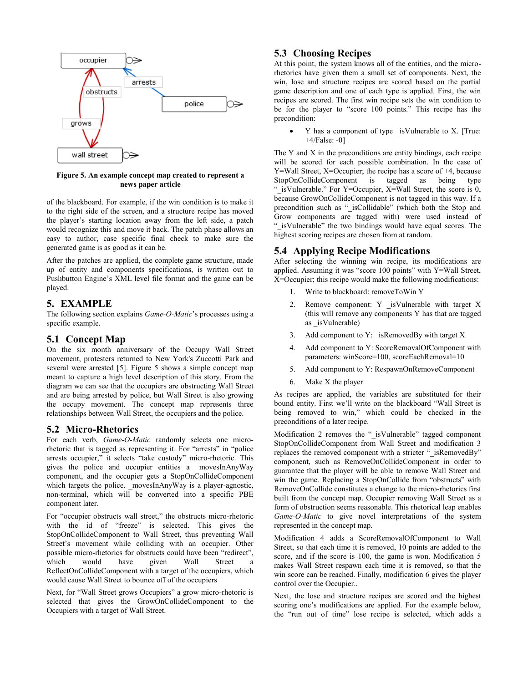

**Figure 5. An example concept map created to represent a news paper article**

of the blackboard. For example, if the win condition is to make it to the right side of the screen, and a structure recipe has moved the player's starting location away from the left side, a patch would recognize this and move it back. The patch phase allows an easy to author, case specific final check to make sure the generated game is as good as it can be.

After the patches are applied, the complete game structure, made up of entity and components specifications, is written out to Pushbutton Engine's XML level file format and the game can be played.

# **5. EXAMPLE**

The following section explains *Game-O-Matic*'s processes using a specific example.

### **5.1 Concept Map**

On the six month anniversary of the Occupy Wall Street movement, protesters returned to New York's Zuccotti Park and several were arrested [5]. Figure 5 shows a simple concept map meant to capture a high level description of this story. From the diagram we can see that the occupiers are obstructing Wall Street and are being arrested by police, but Wall Street is also growing the occupy movement. The concept map represents three relationships between Wall Street, the occupiers and the police.

# **5.2 Micro-Rhetorics**

For each verb, *Game-O-Matic* randomly selects one microrhetoric that is tagged as representing it. For "arrests" in "police arrests occupier," it selects "take custody" micro-rhetoric. This gives the police and occupier entities a movesInAnyWay component, and the occupier gets a StopOnCollideComponent which targets the police. \_movesInAnyWay is a player-agnostic, non-terminal, which will be converted into a specific PBE component later.

For "occupier obstructs wall street," the obstructs micro-rhetoric with the id of "freeze" is selected. This gives the StopOnCollideComponent to Wall Street, thus preventing Wall Street's movement while colliding with an occupier. Other possible micro-rhetorics for obstructs could have been "redirect", which would have given Wall Street a ReflectOnCollideComponent with a target of the occupiers, which would cause Wall Street to bounce off of the occupiers

Next, for "Wall Street grows Occupiers" a grow micro-rhetoric is selected that gives the GrowOnCollideComponent to the Occupiers with a target of Wall Street.

# **5.3 Choosing Recipes**

At this point, the system knows all of the entities, and the microrhetorics have given them a small set of components. Next, the win, lose and structure recipes are scored based on the partial game description and one of each type is applied. First, the win recipes are scored. The first win recipe sets the win condition to be for the player to "score 100 points." This recipe has the precondition:

 Y has a component of type \_isVulnerable to X. [True: +4/False: -0]

The Y and X in the preconditions are entity bindings, each recipe will be scored for each possible combination. In the case of Y=Wall Street, X=Occupier; the recipe has a score of +4, because StopOnCollideComponent is tagged as being type " isVulnerable." For Y=Occupier, X=Wall Street, the score is  $0$ , because GrowOnCollideComponent is not tagged in this way. If a precondition such as " isCollidable" (which both the Stop and Grow components are tagged with) were used instead of " isVulnerable" the two bindings would have equal scores. The highest scoring recipes are chosen from at random.

# **5.4 Applying Recipe Modifications**

After selecting the winning win recipe, its modifications are applied. Assuming it was "score 100 points" with Y=Wall Street, X=Occupier; this recipe would make the following modifications:

- 1. Write to blackboard: removeToWin Y
- 2. Remove component: Y \_isVulnerable with target X (this will remove any components Y has that are tagged as \_isVulnerable)
- 3. Add component to Y:  $\iota$  is Removed By with target X
- 4. Add component to Y: ScoreRemovalOfComponent with parameters: winScore=100, scoreEachRemoval=10
- 5. Add component to Y: RespawnOnRemoveComponent
- 6. Make X the player

As recipes are applied, the variables are substituted for their bound entity. First we'll write on the blackboard "Wall Street is being removed to win," which could be checked in the preconditions of a later recipe.

Modification 2 removes the " isVulnerable" tagged component StopOnCollideComponent from Wall Street and modification 3 replaces the removed component with a stricter " isRemovedBy" component, such as RemoveOnCollideComponent in order to guarantee that the player will be able to remove Wall Street and win the game. Replacing a StopOnCollide from "obstructs" with RemoveOnCollide constitutes a change to the micro-rhetorics first built from the concept map. Occupier removing Wall Street as a form of obstruction seems reasonable. This rhetorical leap enables *Game-O-Matic* to give novel interpretations of the system represented in the concept map.

Modification 4 adds a ScoreRemovalOfComponent to Wall Street, so that each time it is removed, 10 points are added to the score, and if the score is 100, the game is won. Modification 5 makes Wall Street respawn each time it is removed, so that the win score can be reached. Finally, modification 6 gives the player control over the Occupier..

Next, the lose and structure recipes are scored and the highest scoring one's modifications are applied. For the example below, the "run out of time" lose recipe is selected, which adds a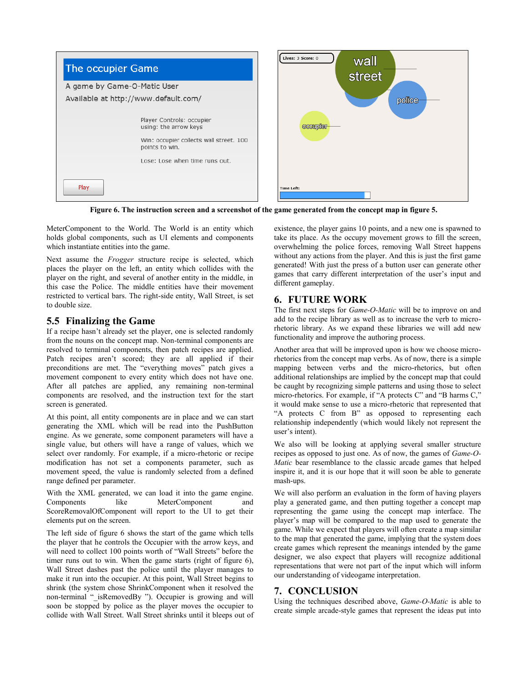

**Figure 6. The instruction screen and a screenshot of the game generated from the concept map in figure 5.**

MeterComponent to the World. The World is an entity which holds global components, such as UI elements and components which instantiate entities into the game.

Next assume the *Frogger* structure recipe is selected, which places the player on the left, an entity which collides with the player on the right, and several of another entity in the middle, in this case the Police. The middle entities have their movement restricted to vertical bars. The right-side entity, Wall Street, is set to double size.

# **5.5 Finalizing the Game**

If a recipe hasn't already set the player, one is selected randomly from the nouns on the concept map. Non-terminal components are resolved to terminal components, then patch recipes are applied. Patch recipes aren't scored; they are all applied if their preconditions are met. The "everything moves" patch gives a movement component to every entity which does not have one. After all patches are applied, any remaining non-terminal components are resolved, and the instruction text for the start screen is generated.

At this point, all entity components are in place and we can start generating the XML which will be read into the PushButton engine. As we generate, some component parameters will have a single value, but others will have a range of values, which we select over randomly. For example, if a micro-rhetoric or recipe modification has not set a components parameter, such as movement speed, the value is randomly selected from a defined range defined per parameter.

With the XML generated, we can load it into the game engine. Components like MeterComponent and ScoreRemovalOfComponent will report to the UI to get their elements put on the screen.

The left side of figure 6 shows the start of the game which tells the player that he controls the Occupier with the arrow keys, and will need to collect 100 points worth of "Wall Streets" before the timer runs out to win. When the game starts (right of figure 6), Wall Street dashes past the police until the player manages to make it run into the occupier. At this point, Wall Street begins to shrink (the system chose ShrinkComponent when it resolved the non-terminal "\_isRemovedBy "). Occupier is growing and will soon be stopped by police as the player moves the occupier to collide with Wall Street. Wall Street shrinks until it bleeps out of existence, the player gains 10 points, and a new one is spawned to take its place. As the occupy movement grows to fill the screen, overwhelming the police forces, removing Wall Street happens without any actions from the player. And this is just the first game generated! With just the press of a button user can generate other games that carry different interpretation of the user's input and different gameplay.

# **6. FUTURE WORK**

The first next steps for *Game-O-Matic* will be to improve on and add to the recipe library as well as to increase the verb to microrhetoric library. As we expand these libraries we will add new functionality and improve the authoring process.

Another area that will be improved upon is how we choose microrhetorics from the concept map verbs. As of now, there is a simple mapping between verbs and the micro-rhetorics, but often additional relationships are implied by the concept map that could be caught by recognizing simple patterns and using those to select micro-rhetorics. For example, if "A protects C" and "B harms C," it would make sense to use a micro-rhetoric that represented that "A protects C from B" as opposed to representing each relationship independently (which would likely not represent the user's intent).

We also will be looking at applying several smaller structure recipes as opposed to just one. As of now, the games of *Game-O-Matic* bear resemblance to the classic arcade games that helped inspire it, and it is our hope that it will soon be able to generate mash-ups.

We will also perform an evaluation in the form of having players play a generated game, and then putting together a concept map representing the game using the concept map interface. The player's map will be compared to the map used to generate the game. While we expect that players will often create a map similar to the map that generated the game, implying that the system does create games which represent the meanings intended by the game designer, we also expect that players will recognize additional representations that were not part of the input which will inform our understanding of videogame interpretation.

# **7. CONCLUSION**

Using the techniques described above, *Game-O-Matic* is able to create simple arcade-style games that represent the ideas put into